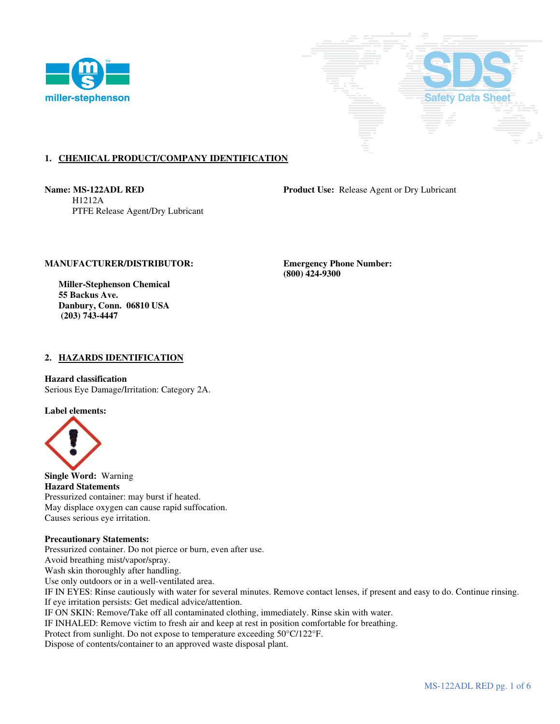



# **1. CHEMICAL PRODUCT/COMPANY IDENTIFICATION**

 H1212A PTFE Release Agent/Dry Lubricant

**Name: MS-122ADL RED Product Use: Release Agent or Dry Lubricant** 

# **MANUFACTURER/DISTRIBUTOR: Emergency Phone Number:**

 **Miller-Stephenson Chemical 55 Backus Ave. Danbury, Conn. 06810 USA (203) 743-4447** 

 **(800) 424-9300** 

### **2. HAZARDS IDENTIFICATION**

### **Hazard classification**

Serious Eye Damage/Irritation: Category 2A.

**Label elements:** 



**Single Word:** Warning **Hazard Statements**  Pressurized container: may burst if heated. May displace oxygen can cause rapid suffocation. Causes serious eye irritation.

### **Precautionary Statements:**

Pressurized container. Do not pierce or burn, even after use. Avoid breathing mist/vapor/spray. Wash skin thoroughly after handling. Use only outdoors or in a well-ventilated area. IF IN EYES: Rinse cautiously with water for several minutes. Remove contact lenses, if present and easy to do. Continue rinsing. If eye irritation persists: Get medical advice/attention. IF ON SKIN: Remove/Take off all contaminated clothing, immediately. Rinse skin with water. IF INHALED: Remove victim to fresh air and keep at rest in position comfortable for breathing. Protect from sunlight. Do not expose to temperature exceeding 50°C/122°F.

Dispose of contents/container to an approved waste disposal plant.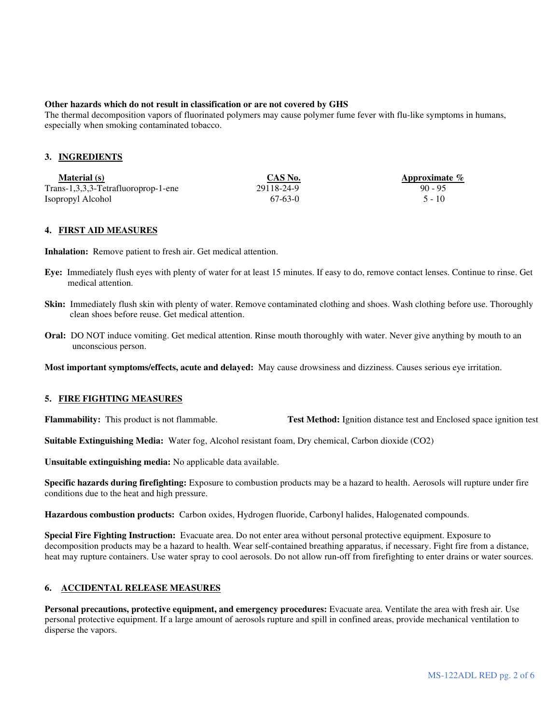### **Other hazards which do not result in classification or are not covered by GHS**

The thermal decomposition vapors of fluorinated polymers may cause polymer fume fever with flu-like symptoms in humans, especially when smoking contaminated tobacco.

### **3. INGREDIENTS**

| <b>Material</b> (s)                 | CAS No.    | Approximate $\%$ |
|-------------------------------------|------------|------------------|
| Trans-1,3,3,3-Tetrafluoroprop-1-ene | 29118-24-9 | $90 - 95$        |
| Isopropyl Alcohol                   | 67-63-0    | $5 - 10$         |

#### **4. FIRST AID MEASURES**

**Inhalation:** Remove patient to fresh air. Get medical attention.

- **Eye:** Immediately flush eyes with plenty of water for at least 15 minutes. If easy to do, remove contact lenses. Continue to rinse. Get medical attention.
- **Skin:** Immediately flush skin with plenty of water. Remove contaminated clothing and shoes. Wash clothing before use. Thoroughly clean shoes before reuse. Get medical attention.
- **Oral:** DO NOT induce vomiting. Get medical attention. Rinse mouth thoroughly with water. Never give anything by mouth to an unconscious person.

**Most important symptoms/effects, acute and delayed:** May cause drowsiness and dizziness. Causes serious eye irritation.

### **5. FIRE FIGHTING MEASURES**

**Flammability:** This product is not flammable. **Test Method:** Ignition distance test and Enclosed space ignition test

**Suitable Extinguishing Media:** Water fog, Alcohol resistant foam, Dry chemical, Carbon dioxide (CO2)

**Unsuitable extinguishing media:** No applicable data available.

**Specific hazards during firefighting:** Exposure to combustion products may be a hazard to health. Aerosols will rupture under fire conditions due to the heat and high pressure.

**Hazardous combustion products:** Carbon oxides, Hydrogen fluoride, Carbonyl halides, Halogenated compounds.

**Special Fire Fighting Instruction:** Evacuate area. Do not enter area without personal protective equipment. Exposure to decomposition products may be a hazard to health. Wear self-contained breathing apparatus, if necessary. Fight fire from a distance, heat may rupture containers. Use water spray to cool aerosols. Do not allow run-off from firefighting to enter drains or water sources.

# **6. ACCIDENTAL RELEASE MEASURES**

**Personal precautions, protective equipment, and emergency procedures:** Evacuate area. Ventilate the area with fresh air. Use personal protective equipment. If a large amount of aerosols rupture and spill in confined areas, provide mechanical ventilation to disperse the vapors.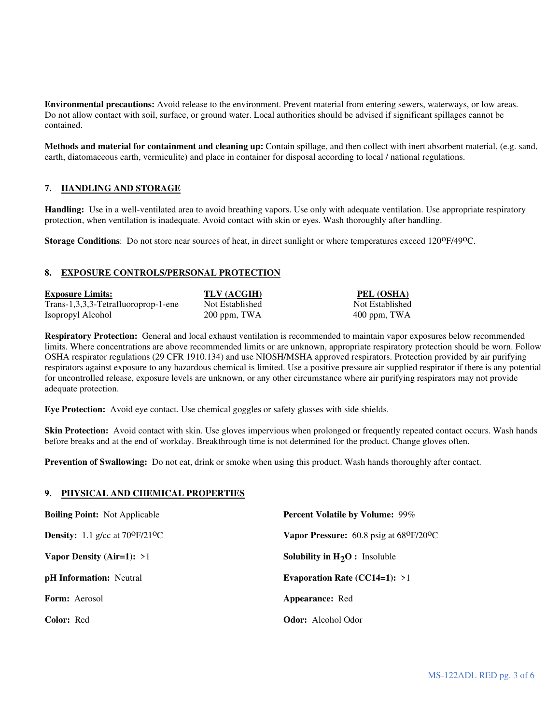**Environmental precautions:** Avoid release to the environment. Prevent material from entering sewers, waterways, or low areas. Do not allow contact with soil, surface, or ground water. Local authorities should be advised if significant spillages cannot be contained.

**Methods and material for containment and cleaning up:** Contain spillage, and then collect with inert absorbent material, (e.g. sand, earth, diatomaceous earth, vermiculite) and place in container for disposal according to local / national regulations.

# **7. HANDLING AND STORAGE**

**Handling:** Use in a well-ventilated area to avoid breathing vapors. Use only with adequate ventilation. Use appropriate respiratory protection, when ventilation is inadequate. Avoid contact with skin or eyes. Wash thoroughly after handling.

**Storage Conditions**: Do not store near sources of heat, in direct sunlight or where temperatures exceed 120<sup>o</sup>F/49<sup>o</sup>C.

# **8. EXPOSURE CONTROLS/PERSONAL PROTECTION**

| <b>Exposure Limits:</b>             | TLV (ACGIH)     | PEL (OSHA)      |
|-------------------------------------|-----------------|-----------------|
| Trans-1,3,3,3-Tetrafluoroprop-1-ene | Not Established | Not Established |
| Isopropyl Alcohol                   | 200 ppm, TWA    | $400$ ppm, TWA  |

**Respiratory Protection:** General and local exhaust ventilation is recommended to maintain vapor exposures below recommended limits. Where concentrations are above recommended limits or are unknown, appropriate respiratory protection should be worn. Follow OSHA respirator regulations (29 CFR 1910.134) and use NIOSH/MSHA approved respirators. Protection provided by air purifying respirators against exposure to any hazardous chemical is limited. Use a positive pressure air supplied respirator if there is any potential for uncontrolled release, exposure levels are unknown, or any other circumstance where air purifying respirators may not provide adequate protection.

**Eye Protection:** Avoid eye contact. Use chemical goggles or safety glasses with side shields.

**Skin Protection:** Avoid contact with skin. Use gloves impervious when prolonged or frequently repeated contact occurs. Wash hands before breaks and at the end of workday. Breakthrough time is not determined for the product. Change gloves often.

**Prevention of Swallowing:** Do not eat, drink or smoke when using this product. Wash hands thoroughly after contact.

# **9. PHYSICAL AND CHEMICAL PROPERTIES**

| <b>Boiling Point:</b> Not Applicable                  | <b>Percent Volatile by Volume: 99%</b>                   |  |
|-------------------------------------------------------|----------------------------------------------------------|--|
| <b>Density:</b> 1.1 g/cc at $70^{\circ}F/21^{\circ}C$ | Vapor Pressure: $60.8$ psig at $68^{\circ}F/20^{\circ}C$ |  |
| Vapor Density (Air=1): $>1$                           | <b>Solubility in <math>H_2O</math>:</b> Insoluble        |  |
| <b>pH</b> Information: Neutral                        | Evaporation Rate (CC14=1): $>1$                          |  |
| <b>Form:</b> Aerosol                                  | Appearance: Red                                          |  |
| Color: Red                                            | <b>Odor:</b> Alcohol Odor                                |  |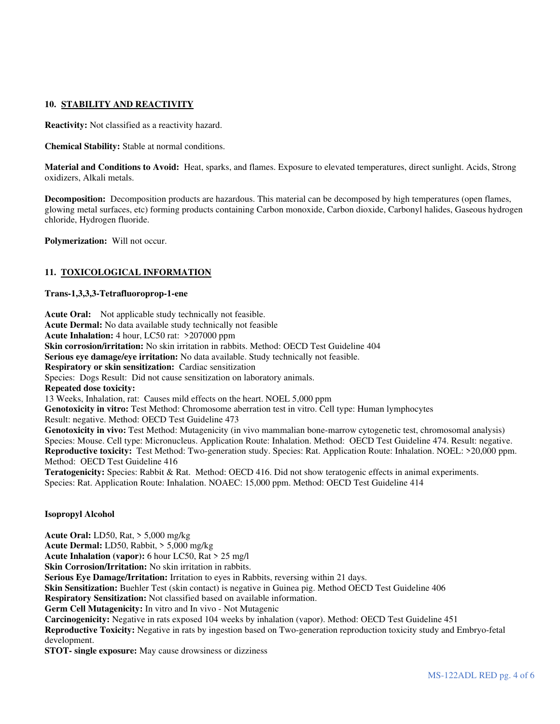# **10. STABILITY AND REACTIVITY**

**Reactivity:** Not classified as a reactivity hazard.

**Chemical Stability:** Stable at normal conditions.

**Material and Conditions to Avoid:** Heat, sparks, and flames. Exposure to elevated temperatures, direct sunlight. Acids, Strong oxidizers, Alkali metals.

**Decomposition:** Decomposition products are hazardous. This material can be decomposed by high temperatures (open flames, glowing metal surfaces, etc) forming products containing Carbon monoxide, Carbon dioxide, Carbonyl halides, Gaseous hydrogen chloride, Hydrogen fluoride.

**Polymerization:** Will not occur.

### **11. TOXICOLOGICAL INFORMATION**

### **Trans-1,3,3,3-Tetrafluoroprop-1-ene**

**Acute Oral:** Not applicable study technically not feasible. **Acute Dermal:** No data available study technically not feasible **Acute Inhalation:** 4 hour, LC50 rat: >207000 ppm **Skin corrosion/irritation:** No skin irritation in rabbits. Method: OECD Test Guideline 404 **Serious eye damage/eye irritation:** No data available. Study technically not feasible. **Respiratory or skin sensitization:** Cardiac sensitization Species: Dogs Result: Did not cause sensitization on laboratory animals. **Repeated dose toxicity:**  13 Weeks, Inhalation, rat: Causes mild effects on the heart. NOEL 5,000 ppm **Genotoxicity in vitro:** Test Method: Chromosome aberration test in vitro. Cell type: Human lymphocytes Result: negative. Method: OECD Test Guideline 473 Genotoxicity in vivo: Test Method: Mutagenicity (in vivo mammalian bone-marrow cytogenetic test, chromosomal analysis) Species: Mouse. Cell type: Micronucleus. Application Route: Inhalation. Method: OECD Test Guideline 474. Result: negative. **Reproductive toxicity:** Test Method: Two-generation study. Species: Rat. Application Route: Inhalation. NOEL: >20,000 ppm. Method: OECD Test Guideline 416 **Teratogenicity:** Species: Rabbit & Rat. Method: OECD 416. Did not show teratogenic effects in animal experiments. Species: Rat. Application Route: Inhalation. NOAEC: 15,000 ppm. Method: OECD Test Guideline 414

# **Isopropyl Alcohol**

**Acute Oral:** LD50, Rat, > 5,000 mg/kg **Acute Dermal:** LD50, Rabbit, > 5,000 mg/kg **Acute Inhalation (vapor):** 6 hour LC50, Rat > 25 mg/l **Skin Corrosion/Irritation:** No skin irritation in rabbits. **Serious Eye Damage/Irritation:** Irritation to eyes in Rabbits, reversing within 21 days. Skin Sensitization: Buehler Test (skin contact) is negative in Guinea pig. Method OECD Test Guideline 406 **Respiratory Sensitization:** Not classified based on available information. **Germ Cell Mutagenicity:** In vitro and In vivo - Not Mutagenic **Carcinogenicity:** Negative in rats exposed 104 weeks by inhalation (vapor). Method: OECD Test Guideline 451 **Reproductive Toxicity:** Negative in rats by ingestion based on Two-generation reproduction toxicity study and Embryo-fetal development.

**STOT- single exposure:** May cause drowsiness or dizziness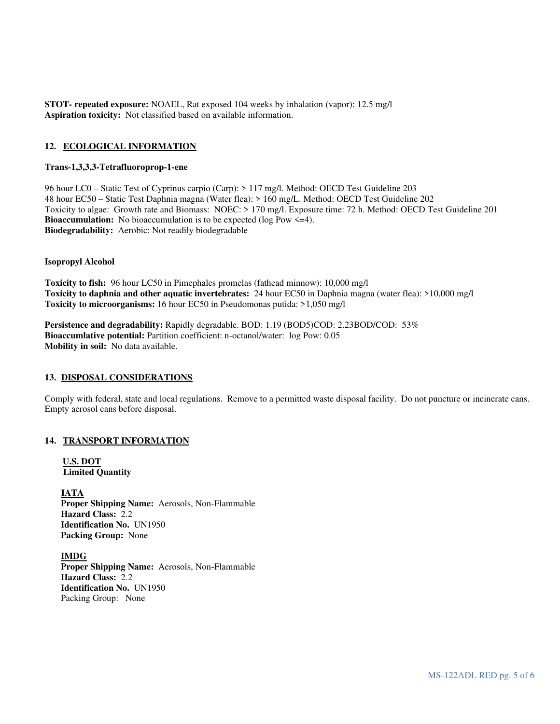**STOT- repeated exposure:** NOAEL, Rat exposed 104 weeks by inhalation (vapor): 12.5 mg/l **Aspiration toxicity:** Not classified based on available information.

### **12. ECOLOGICAL INFORMATION**

### **Trans-1,3,3,3-Tetrafluoroprop-1-ene**

96 hour LC0 – Static Test of Cyprinus carpio (Carp): > 117 mg/l. Method: OECD Test Guideline 203 48 hour EC50 – Static Test Daphnia magna (Water flea): > 160 mg/L. Method: OECD Test Guideline 202 Toxicity to algae: Growth rate and Biomass: NOEC: > 170 mg/l. Exposure time: 72 h. Method: OECD Test Guideline 201 **Bioaccumulation:** No bioaccumulation is to be expected (log Pow  $\leq$ =4). **Biodegradability:** Aerobic: Not readily biodegradable

### **Isopropyl Alcohol**

**Toxicity to fish:** 96 hour LC50 in Pimephales promelas (fathead minnow): 10,000 mg/l **Toxicity to daphnia and other aquatic invertebrates:** 24 hour EC50 in Daphnia magna (water flea): >10,000 mg/l **Toxicity to microorganisms:** 16 hour EC50 in Pseudomonas putida: >1,050 mg/l

**Persistence and degradability:** Rapidly degradable. BOD: 1.19 (BOD5)COD: 2.23BOD/COD: 53% **Bioaccumlative potential:** Partition coefficient: n-octanol/water: log Pow: 0.05 **Mobility in soil:** No data available.

### **13. DISPOSAL CONSIDERATIONS**

Comply with federal, state and local regulations. Remove to a permitted waste disposal facility. Do not puncture or incinerate cans. Empty aerosol cans before disposal.

### **14. TRANSPORT INFORMATION**

**U.S. DOT Limited Quantity** 

**IATA Proper Shipping Name:** Aerosols, Non-Flammable **Hazard Class:** 2.2 **Identification No.** UN1950 **Packing Group:** None

 **IMDG Proper Shipping Name:** Aerosols, Non-Flammable **Hazard Class:** 2.2 **Identification No.** UN1950 Packing Group: None